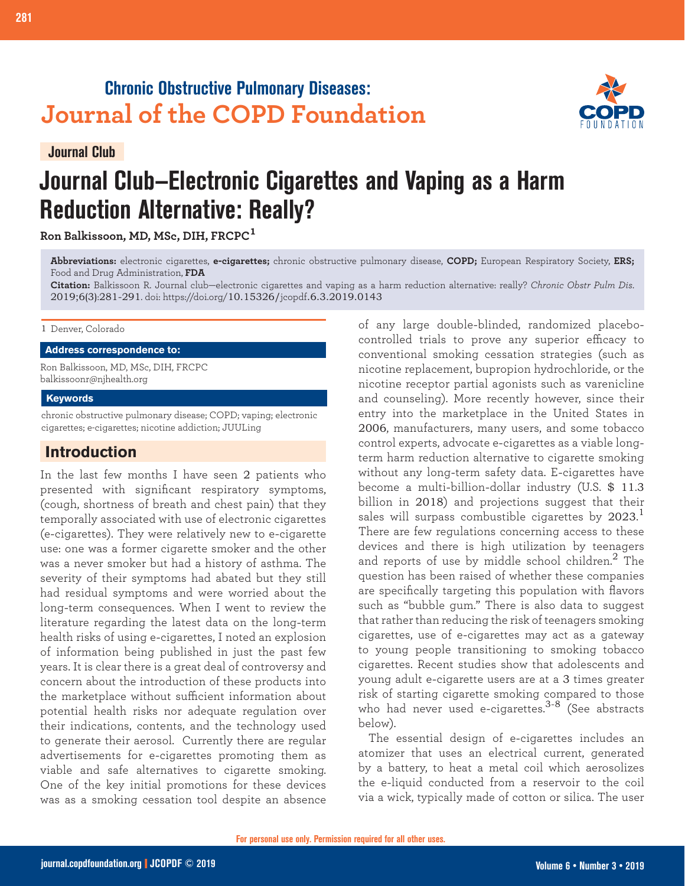# **Chronic Obstructive Pulmonary Diseases: Journal of the COPD Foundation**

**Journal Club**

# **Journal Club—Electronic Cigarettes and Vaping as a Harm Reduction Alternative: Really?**

**Ron Balkissoon, MD, MSc, DIH, FRCPC<sup>1</sup>**

**281 Journal Club: Electronic Cigarettes and Vaping**

**Abbreviations:** electronic cigarettes, **e-cigarettes;** chronic obstructive pulmonary disease, **COPD;** European Respiratory Society, **ERS;**  Food and Drug Administration, **FDA**

**Citation:** Balkissoon R. Journal club—electronic cigarettes and vaping as a harm reduction alternative: really? *Chronic Obstr Pulm Dis*. 2019;6(3):281-291. doi: https://doi.org/10.15326/jcopdf.6.3.2019.0143

#### 1 Denver, Colorado

#### **Address correspondence to:**

Ron Balkissoon, MD, MSc, DIH, FRCPC balkissoonr@njhealth.org

#### **Keywords**

chronic obstructive pulmonary disease; COPD; vaping; electronic cigarettes; e-cigarettes; nicotine addiction; JUULing

# **Introduction**

In the last few months I have seen 2 patients who presented with significant respiratory symptoms, (cough, shortness of breath and chest pain) that they temporally associated with use of electronic cigarettes (e-cigarettes). They were relatively new to e-cigarette use: one was a former cigarette smoker and the other was a never smoker but had a history of asthma. The severity of their symptoms had abated but they still had residual symptoms and were worried about the long-term consequences. When I went to review the literature regarding the latest data on the long-term health risks of using e-cigarettes, I noted an explosion of information being published in just the past few years. It is clear there is a great deal of controversy and concern about the introduction of these products into the marketplace without sufficient information about potential health risks nor adequate regulation over their indications, contents, and the technology used to generate their aerosol. Currently there are regular advertisements for e-cigarettes promoting them as viable and safe alternatives to cigarette smoking. One of the key initial promotions for these devices was as a smoking cessation tool despite an absence

of any large double-blinded, randomized placebocontrolled trials to prove any superior efficacy to conventional smoking cessation strategies (such as nicotine replacement, bupropion hydrochloride, or the nicotine receptor partial agonists such as varenicline and counseling). More recently however, since their entry into the marketplace in the United States in 2006, manufacturers, many users, and some tobacco control experts, advocate e-cigarettes as a viable longterm harm reduction alternative to cigarette smoking without any long-term safety data. E-cigarettes have become a multi-billion-dollar industry (U.S. \$ 11.3 billion in 2018) and projections suggest that their sales will surpass combustible cigarettes by 2023. $^{\rm 1}$ There are few regulations concerning access to these devices and there is high utilization by teenagers and reports of use by middle school children.<sup>2</sup> The question has been raised of whether these companies are specifically targeting this population with flavors such as "bubble gum." There is also data to suggest that rather than reducing the risk of teenagers smoking cigarettes, use of e-cigarettes may act as a gateway to young people transitioning to smoking tobacco cigarettes. Recent studies show that adolescents and young adult e-cigarette users are at a 3 times greater risk of starting cigarette smoking compared to those who had never used e-cigarettes.<sup>3-8</sup> (See abstracts below).

The essential design of e-cigarettes includes an atomizer that uses an electrical current, generated by a battery, to heat a metal coil which aerosolizes the e-liquid conducted from a reservoir to the coil via a wick, typically made of cotton or silica. The user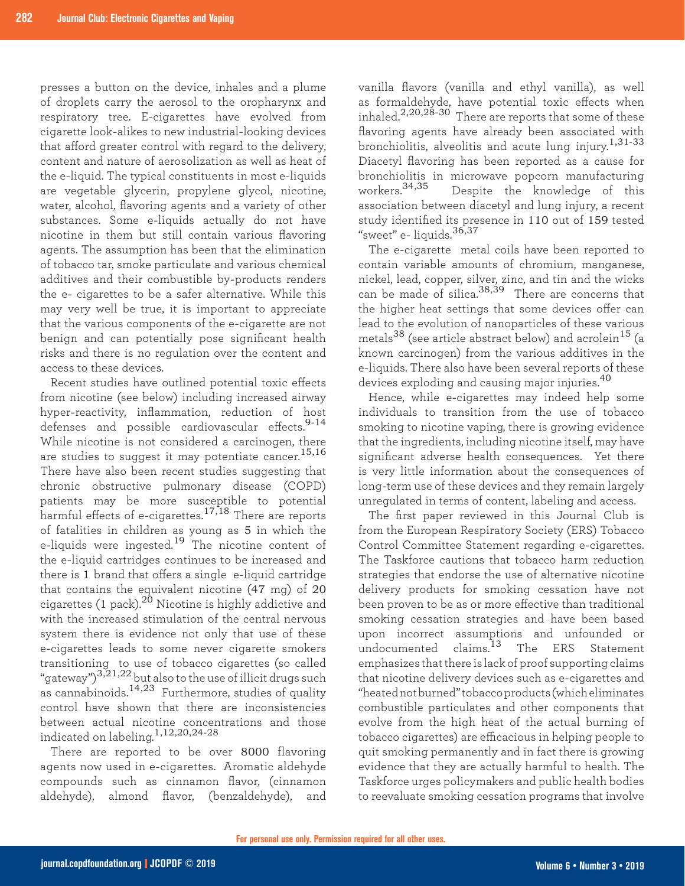presses a button on the device, inhales and a plume of droplets carry the aerosol to the oropharynx and respiratory tree. E-cigarettes have evolved from cigarette look-alikes to new industrial-looking devices that afford greater control with regard to the delivery, content and nature of aerosolization as well as heat of the e-liquid. The typical constituents in most e-liquids are vegetable glycerin, propylene glycol, nicotine, water, alcohol, flavoring agents and a variety of other substances. Some e-liquids actually do not have nicotine in them but still contain various flavoring agents. The assumption has been that the elimination of tobacco tar, smoke particulate and various chemical additives and their combustible by-products renders the e- cigarettes to be a safer alternative. While this may very well be true, it is important to appreciate that the various components of the e-cigarette are not benign and can potentially pose significant health risks and there is no regulation over the content and access to these devices.

Recent studies have outlined potential toxic effects from nicotine (see below) including increased airway hyper-reactivity, inflammation, reduction of host defenses and possible cardiovascular effects.<sup>9-14</sup> While nicotine is not considered a carcinogen, there are studies to suggest it may potentiate cancer.<sup>15,16</sup> There have also been recent studies suggesting that chronic obstructive pulmonary disease (COPD) patients may be more susceptible to potential harmful effects of e-cigarettes.<sup>17,18</sup> There are reports of fatalities in children as young as 5 in which the e-liquids were ingested.<sup>19</sup> The nicotine content of the e-liquid cartridges continues to be increased and there is 1 brand that offers a single e-liquid cartridge that contains the equivalent nicotine (47 mg) of 20 cigarettes (1 pack).<sup>20</sup> Nicotine is highly addictive and with the increased stimulation of the central nervous system there is evidence not only that use of these e-cigarettes leads to some never cigarette smokers transitioning to use of tobacco cigarettes (so called "gateway") $^{3,21,22}$  but also to the use of illicit drugs such as cannabinoids.<sup>14,23</sup> Furthermore, studies of quality control have shown that there are inconsistencies between actual nicotine concentrations and those indicated on labeling.1,12,20,24-28

There are reported to be over 8000 flavoring agents now used in e-cigarettes. Aromatic aldehyde compounds such as cinnamon flavor, (cinnamon aldehyde), almond flavor, (benzaldehyde), and

vanilla flavors (vanilla and ethyl vanilla), as well as formaldehyde, have potential toxic effects when inhaled.<sup>2,20,28-30</sup> There are reports that some of these flavoring agents have already been associated with bronchiolitis, alveolitis and acute lung injury.<sup>1,31-33</sup> Diacetyl flavoring has been reported as a cause for bronchiolitis in microwave popcorn manufacturing<br>workers.<sup>34,35</sup> Despite the knowledge of this Despite the knowledge of this association between diacetyl and lung injury, a recent study identified its presence in 110 out of 159 tested "sweet" e- liquids.36,37

The e-cigarette metal coils have been reported to contain variable amounts of chromium, manganese, nickel, lead, copper, silver, zinc, and tin and the wicks can be made of silica.38,39 There are concerns that the higher heat settings that some devices offer can lead to the evolution of nanoparticles of these various metals<sup>38</sup> (see article abstract below) and acrolein<sup>15</sup> (a known carcinogen) from the various additives in the e-liquids. There also have been several reports of these devices exploding and causing major injuries.<sup>40</sup>

Hence, while e-cigarettes may indeed help some individuals to transition from the use of tobacco smoking to nicotine vaping, there is growing evidence that the ingredients, including nicotine itself, may have significant adverse health consequences. Yet there is very little information about the consequences of long-term use of these devices and they remain largely unregulated in terms of content, labeling and access.

The first paper reviewed in this Journal Club is from the European Respiratory Society (ERS) Tobacco Control Committee Statement regarding e-cigarettes. The Taskforce cautions that tobacco harm reduction strategies that endorse the use of alternative nicotine delivery products for smoking cessation have not been proven to be as or more effective than traditional smoking cessation strategies and have been based upon incorrect assumptions and unfounded or undocumented claims.13 The ERS Statement emphasizes that there is lack of proof supporting claims that nicotine delivery devices such as e-cigarettes and "heated not burned" tobacco products (which eliminates combustible particulates and other components that evolve from the high heat of the actual burning of tobacco cigarettes) are efficacious in helping people to quit smoking permanently and in fact there is growing evidence that they are actually harmful to health. The Taskforce urges policymakers and public health bodies to reevaluate smoking cessation programs that involve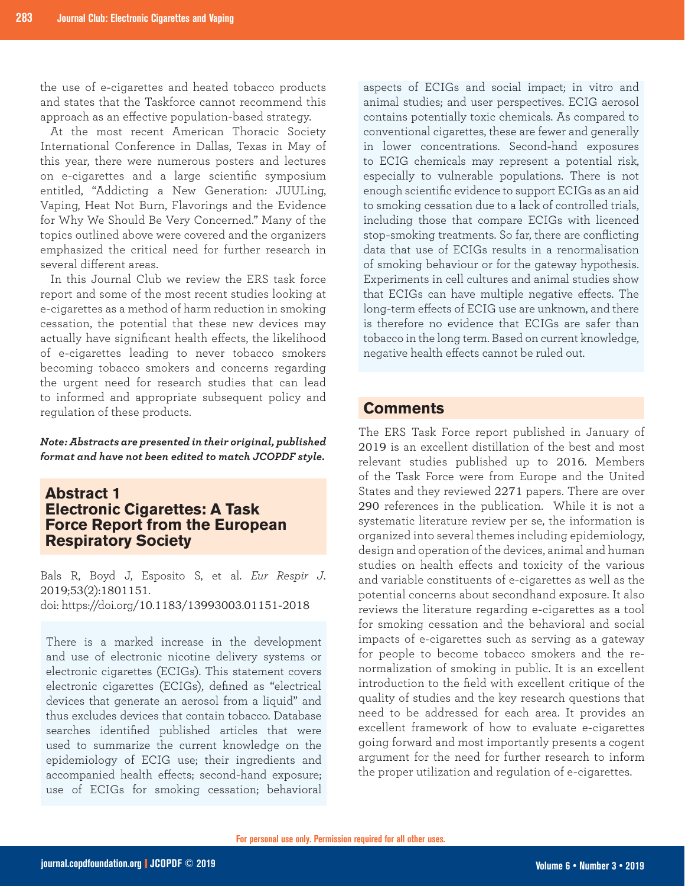the use of e-cigarettes and heated tobacco products and states that the Taskforce cannot recommend this approach as an effective population-based strategy.

At the most recent American Thoracic Society International Conference in Dallas, Texas in May of this year, there were numerous posters and lectures on e-cigarettes and a large scientific symposium entitled, "Addicting a New Generation: JUULing, Vaping, Heat Not Burn, Flavorings and the Evidence for Why We Should Be Very Concerned." Many of the topics outlined above were covered and the organizers emphasized the critical need for further research in several different areas.

In this Journal Club we review the ERS task force report and some of the most recent studies looking at e-cigarettes as a method of harm reduction in smoking cessation, the potential that these new devices may actually have significant health effects, the likelihood of e-cigarettes leading to never tobacco smokers becoming tobacco smokers and concerns regarding the urgent need for research studies that can lead to informed and appropriate subsequent policy and regulation of these products.

*Note: Abstracts are presented in their original, published format and have not been edited to match JCOPDF style.*

# **Abstract 1 Electronic Cigarettes: A Task Force Report from the European Respiratory Society**

Bals R, Boyd J, Esposito S, et al. *Eur Respir J*. 2019;53(2):1801151. doi: https://doi.org/10.1183/13993003.01151-2018

There is a marked increase in the development and use of electronic nicotine delivery systems or electronic cigarettes (ECIGs). This statement covers electronic cigarettes (ECIGs), defined as "electrical devices that generate an aerosol from a liquid" and thus excludes devices that contain tobacco. Database searches identified published articles that were used to summarize the current knowledge on the epidemiology of ECIG use; their ingredients and accompanied health effects; second-hand exposure; use of ECIGs for smoking cessation; behavioral aspects of ECIGs and social impact; in vitro and animal studies; and user perspectives. ECIG aerosol contains potentially toxic chemicals. As compared to conventional cigarettes, these are fewer and generally in lower concentrations. Second-hand exposures to ECIG chemicals may represent a potential risk, especially to vulnerable populations. There is not enough scientific evidence to support ECIGs as an aid to smoking cessation due to a lack of controlled trials, including those that compare ECIGs with licenced stop-smoking treatments. So far, there are conflicting data that use of ECIGs results in a renormalisation of smoking behaviour or for the gateway hypothesis. Experiments in cell cultures and animal studies show that ECIGs can have multiple negative effects. The long-term effects of ECIG use are unknown, and there is therefore no evidence that ECIGs are safer than tobacco in the long term. Based on current knowledge, negative health effects cannot be ruled out.

# **Comments**

The ERS Task Force report published in January of 2019 is an excellent distillation of the best and most relevant studies published up to 2016. Members of the Task Force were from Europe and the United States and they reviewed 2271 papers. There are over 290 references in the publication. While it is not a systematic literature review per se, the information is organized into several themes including epidemiology, design and operation of the devices, animal and human studies on health effects and toxicity of the various and variable constituents of e-cigarettes as well as the potential concerns about secondhand exposure. It also reviews the literature regarding e-cigarettes as a tool for smoking cessation and the behavioral and social impacts of e-cigarettes such as serving as a gateway for people to become tobacco smokers and the renormalization of smoking in public. It is an excellent introduction to the field with excellent critique of the quality of studies and the key research questions that need to be addressed for each area. It provides an excellent framework of how to evaluate e-cigarettes going forward and most importantly presents a cogent argument for the need for further research to inform the proper utilization and regulation of e-cigarettes.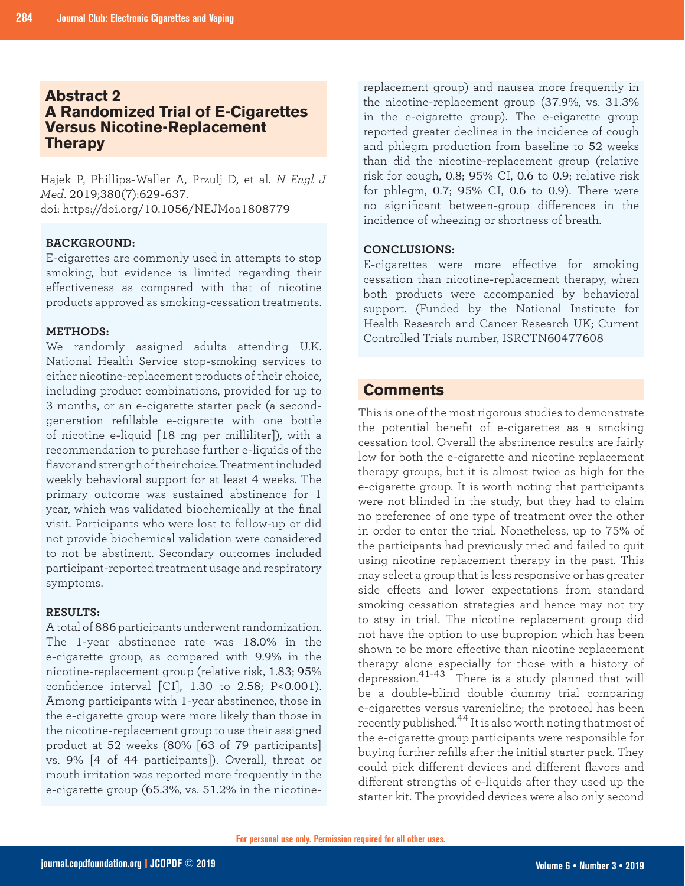# **Abstract 2 A Randomized Trial of E-Cigarettes Versus Nicotine-Replacement Therapy**

Hajek P, Phillips-Waller A, Przulj D, et al. *N Engl J Med*. 2019;380(7):629-637. doi: https://doi.org/10.1056/NEJMoa1808779

#### **BACKGROUND:**

E-cigarettes are commonly used in attempts to stop smoking, but evidence is limited regarding their effectiveness as compared with that of nicotine products approved as smoking-cessation treatments.

#### **METHODS:**

We randomly assigned adults attending U.K. National Health Service stop-smoking services to either nicotine-replacement products of their choice, including product combinations, provided for up to 3 months, or an e-cigarette starter pack (a secondgeneration refillable e-cigarette with one bottle of nicotine e-liquid [18 mg per milliliter]), with a recommendation to purchase further e-liquids of the flavor and strength of their choice. Treatment included weekly behavioral support for at least 4 weeks. The primary outcome was sustained abstinence for 1 year, which was validated biochemically at the final visit. Participants who were lost to follow-up or did not provide biochemical validation were considered to not be abstinent. Secondary outcomes included participant-reported treatment usage and respiratory symptoms.

#### **RESULTS:**

A total of 886 participants underwent randomization. The 1-year abstinence rate was 18.0% in the e-cigarette group, as compared with 9.9% in the nicotine-replacement group (relative risk, 1.83; 95% confidence interval [CI], 1.30 to 2.58; P<0.001). Among participants with 1-year abstinence, those in the e-cigarette group were more likely than those in the nicotine-replacement group to use their assigned product at 52 weeks (80% [63 of 79 participants] vs. 9% [4 of 44 participants]). Overall, throat or mouth irritation was reported more frequently in the e-cigarette group (65.3%, vs. 51.2% in the nicotinereplacement group) and nausea more frequently in the nicotine-replacement group (37.9%, vs. 31.3% in the e-cigarette group). The e-cigarette group reported greater declines in the incidence of cough and phlegm production from baseline to 52 weeks than did the nicotine-replacement group (relative risk for cough, 0.8; 95% CI, 0.6 to 0.9; relative risk for phlegm, 0.7; 95% CI, 0.6 to 0.9). There were no significant between-group differences in the incidence of wheezing or shortness of breath.

#### **CONCLUSIONS:**

E-cigarettes were more effective for smoking cessation than nicotine-replacement therapy, when both products were accompanied by behavioral support. (Funded by the National Institute for Health Research and Cancer Research UK; Current Controlled Trials number, ISRCTN60477608

# **Comments**

This is one of the most rigorous studies to demonstrate the potential benefit of e-cigarettes as a smoking cessation tool. Overall the abstinence results are fairly low for both the e-cigarette and nicotine replacement therapy groups, but it is almost twice as high for the e-cigarette group. It is worth noting that participants were not blinded in the study, but they had to claim no preference of one type of treatment over the other in order to enter the trial. Nonetheless, up to 75% of the participants had previously tried and failed to quit using nicotine replacement therapy in the past. This may select a group that is less responsive or has greater side effects and lower expectations from standard smoking cessation strategies and hence may not try to stay in trial. The nicotine replacement group did not have the option to use bupropion which has been shown to be more effective than nicotine replacement therapy alone especially for those with a history of depression.41-43 There is a study planned that will be a double-blind double dummy trial comparing e-cigarettes versus varenicline; the protocol has been recently published.<sup>44</sup> It is also worth noting that most of the e-cigarette group participants were responsible for buying further refills after the initial starter pack. They could pick different devices and different flavors and different strengths of e-liquids after they used up the starter kit. The provided devices were also only second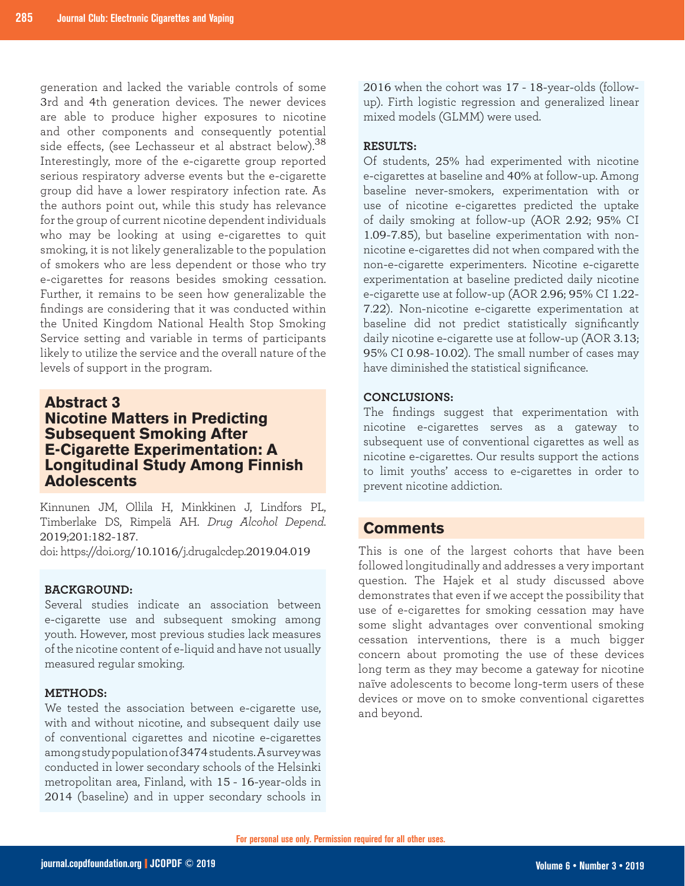generation and lacked the variable controls of some 3rd and 4th generation devices. The newer devices are able to produce higher exposures to nicotine and other components and consequently potential side effects, (see Lechasseur et al abstract below).<sup>38</sup> Interestingly, more of the e-cigarette group reported serious respiratory adverse events but the e-cigarette group did have a lower respiratory infection rate. As the authors point out, while this study has relevance for the group of current nicotine dependent individuals who may be looking at using e-cigarettes to quit smoking, it is not likely generalizable to the population of smokers who are less dependent or those who try e-cigarettes for reasons besides smoking cessation. Further, it remains to be seen how generalizable the findings are considering that it was conducted within the United Kingdom National Health Stop Smoking Service setting and variable in terms of participants likely to utilize the service and the overall nature of the levels of support in the program.

# **Abstract 3 Nicotine Matters in Predicting Subsequent Smoking After E-Cigarette Experimentation: A Longitudinal Study Among Finnish Adolescents**

Kinnunen JM, Ollila H, Minkkinen J, Lindfors PL, Timberlake DS, Rimpelä AH. *Drug Alcohol Depend*. 2019;201:182-187.

doi: https://doi.org/10.1016/j.drugalcdep.2019.04.019

#### **BACKGROUND:**

Several studies indicate an association between e-cigarette use and subsequent smoking among youth. However, most previous studies lack measures of the nicotine content of e-liquid and have not usually measured regular smoking.

#### **METHODS:**

We tested the association between e-cigarette use, with and without nicotine, and subsequent daily use of conventional cigarettes and nicotine e-cigarettes among study population of 3474 students. A survey was conducted in lower secondary schools of the Helsinki metropolitan area, Finland, with 15 - 16-year-olds in 2014 (baseline) and in upper secondary schools in

2016 when the cohort was 17 - 18-year-olds (followup). Firth logistic regression and generalized linear mixed models (GLMM) were used.

#### **RESULTS:**

Of students, 25% had experimented with nicotine e-cigarettes at baseline and 40% at follow-up. Among baseline never-smokers, experimentation with or use of nicotine e-cigarettes predicted the uptake of daily smoking at follow-up (AOR 2.92; 95% CI 1.09-7.85), but baseline experimentation with nonnicotine e-cigarettes did not when compared with the non-e-cigarette experimenters. Nicotine e-cigarette experimentation at baseline predicted daily nicotine e-cigarette use at follow-up (AOR 2.96; 95% CI 1.22- 7.22). Non-nicotine e-cigarette experimentation at baseline did not predict statistically significantly daily nicotine e-cigarette use at follow-up (AOR 3.13; 95% CI 0.98-10.02). The small number of cases may have diminished the statistical significance.

#### **CONCLUSIONS:**

The findings suggest that experimentation with nicotine e-cigarettes serves as a gateway to subsequent use of conventional cigarettes as well as nicotine e-cigarettes. Our results support the actions to limit youths' access to e-cigarettes in order to prevent nicotine addiction.

### **Comments**

This is one of the largest cohorts that have been followed longitudinally and addresses a very important question. The Hajek et al study discussed above demonstrates that even if we accept the possibility that use of e-cigarettes for smoking cessation may have some slight advantages over conventional smoking cessation interventions, there is a much bigger concern about promoting the use of these devices long term as they may become a gateway for nicotine naïve adolescents to become long-term users of these devices or move on to smoke conventional cigarettes and beyond.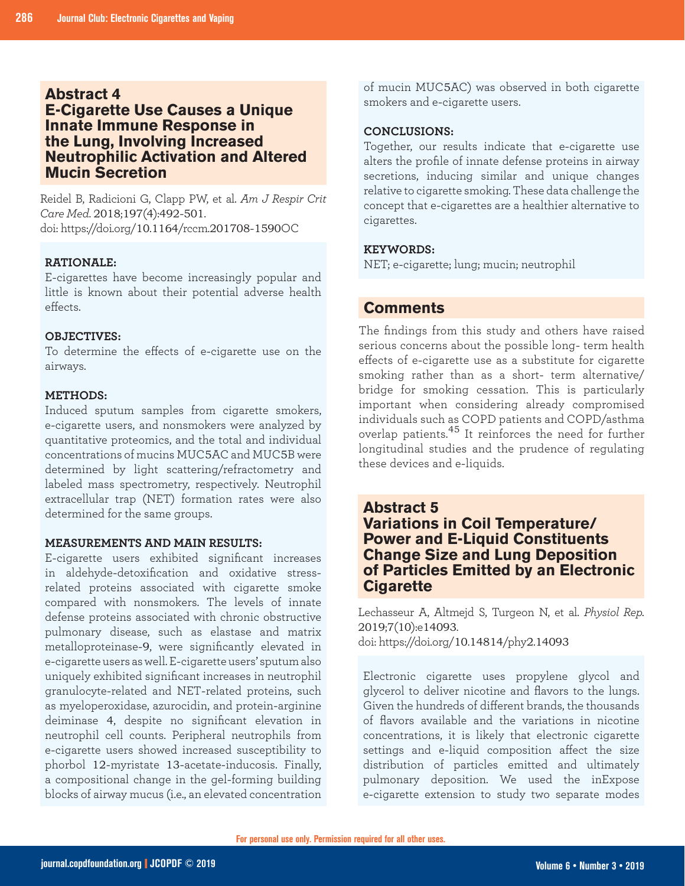#### **Abstract 4**

# **E-Cigarette Use Causes a Unique Innate Immune Response in the Lung, Involving Increased Neutrophilic Activation and Altered Mucin Secretion**

Reidel B, Radicioni G, Clapp PW, et al. *Am J Respir Crit Care Med*. 2018;197(4):492-501. doi: https://doi.org/10.1164/rccm.201708-1590OC

#### **RATIONALE:**

E-cigarettes have become increasingly popular and little is known about their potential adverse health effects.

#### **OBJECTIVES:**

To determine the effects of e-cigarette use on the airways.

#### **METHODS:**

Induced sputum samples from cigarette smokers, e-cigarette users, and nonsmokers were analyzed by quantitative proteomics, and the total and individual concentrations of mucins MUC5AC and MUC5B were determined by light scattering/refractometry and labeled mass spectrometry, respectively. Neutrophil extracellular trap (NET) formation rates were also determined for the same groups.

#### **MEASUREMENTS AND MAIN RESULTS:**

E-cigarette users exhibited significant increases in aldehyde-detoxification and oxidative stressrelated proteins associated with cigarette smoke compared with nonsmokers. The levels of innate defense proteins associated with chronic obstructive pulmonary disease, such as elastase and matrix metalloproteinase-9, were significantly elevated in e-cigarette users as well. E-cigarette users' sputum also uniquely exhibited significant increases in neutrophil granulocyte-related and NET-related proteins, such as myeloperoxidase, azurocidin, and protein-arginine deiminase 4, despite no significant elevation in neutrophil cell counts. Peripheral neutrophils from e-cigarette users showed increased susceptibility to phorbol 12-myristate 13-acetate-inducosis. Finally, a compositional change in the gel-forming building blocks of airway mucus (i.e., an elevated concentration

of mucin MUC5AC) was observed in both cigarette smokers and e-cigarette users.

#### **CONCLUSIONS:**

Together, our results indicate that e-cigarette use alters the profile of innate defense proteins in airway secretions, inducing similar and unique changes relative to cigarette smoking. These data challenge the concept that e-cigarettes are a healthier alternative to cigarettes.

#### **KEYWORDS:**

NET; e-cigarette; lung; mucin; neutrophil

# **Comments**

The findings from this study and others have raised serious concerns about the possible long- term health effects of e-cigarette use as a substitute for cigarette smoking rather than as a short- term alternative/ bridge for smoking cessation. This is particularly important when considering already compromised individuals such as COPD patients and COPD/asthma overlap patients.45 It reinforces the need for further longitudinal studies and the prudence of regulating these devices and e-liquids.

# **Abstract 5**

# **Variations in Coil Temperature/ Power and E-Liquid Constituents Change Size and Lung Deposition of Particles Emitted by an Electronic Cigarette**

Lechasseur A, Altmejd S, Turgeon N, et al. *Physiol Rep.* 2019;7(10):e14093. doi: https://doi.org/10.14814/phy2.14093

Electronic cigarette uses propylene glycol and glycerol to deliver nicotine and flavors to the lungs. Given the hundreds of different brands, the thousands of flavors available and the variations in nicotine concentrations, it is likely that electronic cigarette settings and e-liquid composition affect the size distribution of particles emitted and ultimately pulmonary deposition. We used the inExpose e-cigarette extension to study two separate modes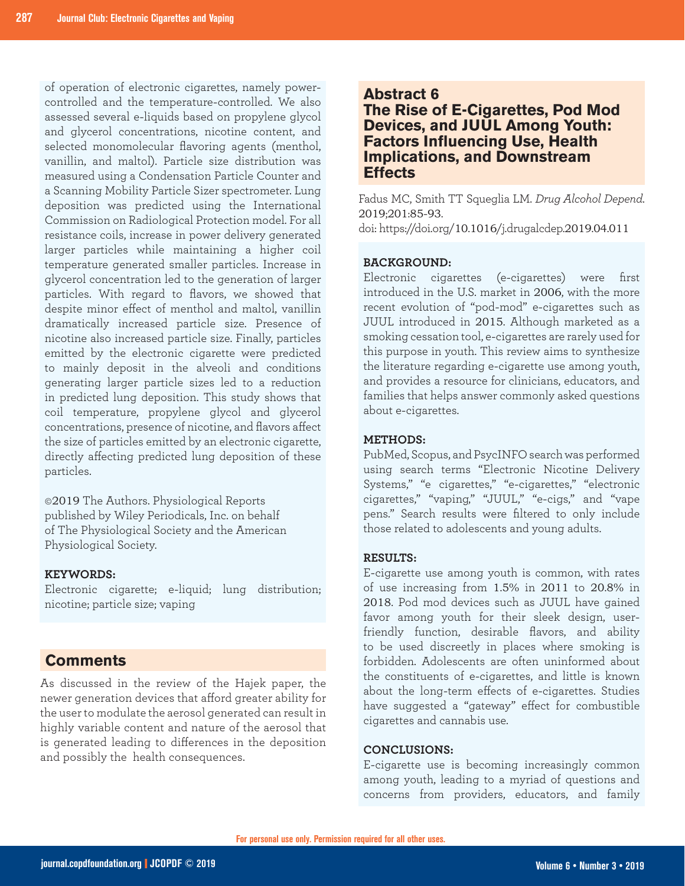of operation of electronic cigarettes, namely powercontrolled and the temperature-controlled. We also assessed several e-liquids based on propylene glycol and glycerol concentrations, nicotine content, and selected monomolecular flavoring agents (menthol, vanillin, and maltol). Particle size distribution was measured using a Condensation Particle Counter and a Scanning Mobility Particle Sizer spectrometer. Lung deposition was predicted using the International Commission on Radiological Protection model. For all resistance coils, increase in power delivery generated larger particles while maintaining a higher coil temperature generated smaller particles. Increase in glycerol concentration led to the generation of larger particles. With regard to flavors, we showed that despite minor effect of menthol and maltol, vanillin dramatically increased particle size. Presence of nicotine also increased particle size. Finally, particles emitted by the electronic cigarette were predicted to mainly deposit in the alveoli and conditions generating larger particle sizes led to a reduction in predicted lung deposition. This study shows that coil temperature, propylene glycol and glycerol concentrations, presence of nicotine, and flavors affect the size of particles emitted by an electronic cigarette, directly affecting predicted lung deposition of these particles.

©2019 The Authors. Physiological Reports published by Wiley Periodicals, Inc. on behalf of The Physiological Society and the American Physiological Society.

#### **KEYWORDS:**

Electronic cigarette; e-liquid; lung distribution; nicotine; particle size; vaping

# **Comments**

As discussed in the review of the Hajek paper, the newer generation devices that afford greater ability for the user to modulate the aerosol generated can result in highly variable content and nature of the aerosol that is generated leading to differences in the deposition and possibly the health consequences.

# **Abstract 6**

**The Rise of E-Cigarettes, Pod Mod Devices, and JUUL Among Youth: Factors Influencing Use, Health Implications, and Downstream Effects** 

Fadus MC, Smith TT Squeglia LM. *Drug Alcohol Depend*. 2019;201:85-93.

doi: https://doi.org/10.1016/j.drugalcdep.2019.04.011

#### **BACKGROUND:**

Electronic cigarettes (e-cigarettes) were first introduced in the U.S. market in 2006, with the more recent evolution of "pod-mod" e-cigarettes such as JUUL introduced in 2015. Although marketed as a smoking cessation tool, e-cigarettes are rarely used for this purpose in youth. This review aims to synthesize the literature regarding e-cigarette use among youth, and provides a resource for clinicians, educators, and families that helps answer commonly asked questions about e-cigarettes.

#### **METHODS:**

PubMed, Scopus, and PsycINFO search was performed using search terms "Electronic Nicotine Delivery Systems," "e cigarettes," "e-cigarettes," "electronic cigarettes," "vaping," "JUUL," "e-cigs," and "vape pens." Search results were filtered to only include those related to adolescents and young adults.

#### **RESULTS:**

E-cigarette use among youth is common, with rates of use increasing from 1.5% in 2011 to 20.8% in 2018. Pod mod devices such as JUUL have gained favor among youth for their sleek design, userfriendly function, desirable flavors, and ability to be used discreetly in places where smoking is forbidden. Adolescents are often uninformed about the constituents of e-cigarettes, and little is known about the long-term effects of e-cigarettes. Studies have suggested a "gateway" effect for combustible cigarettes and cannabis use.

#### **CONCLUSIONS:**

E-cigarette use is becoming increasingly common among youth, leading to a myriad of questions and concerns from providers, educators, and family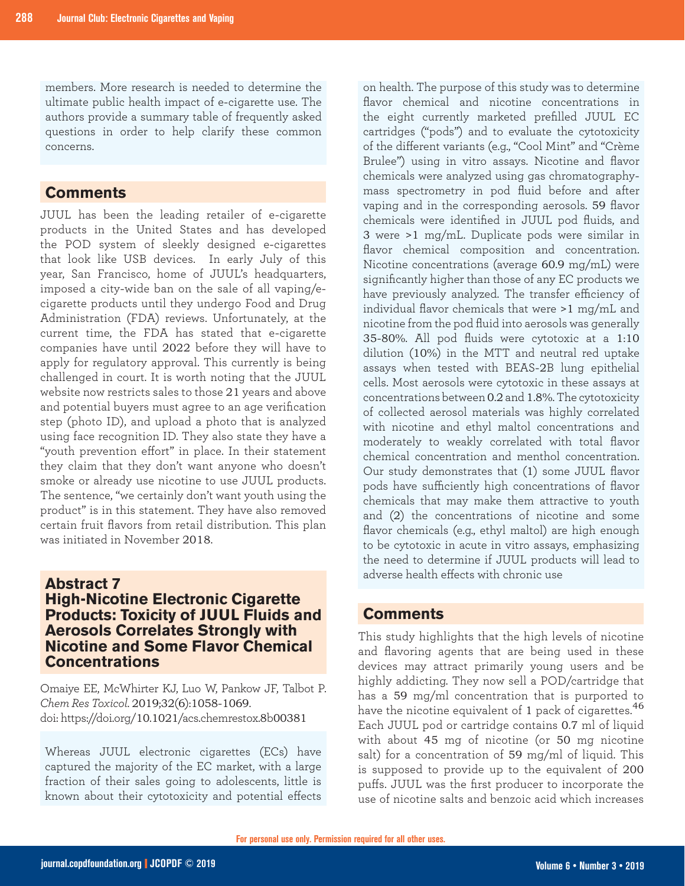members. More research is needed to determine the ultimate public health impact of e-cigarette use. The authors provide a summary table of frequently asked questions in order to help clarify these common concerns.

# **Comments**

JUUL has been the leading retailer of e-cigarette products in the United States and has developed the POD system of sleekly designed e-cigarettes that look like USB devices. In early July of this year, San Francisco, home of JUUL's headquarters, imposed a city-wide ban on the sale of all vaping/ecigarette products until they undergo Food and Drug Administration (FDA) reviews. Unfortunately, at the current time, the FDA has stated that e-cigarette companies have until 2022 before they will have to apply for regulatory approval. This currently is being challenged in court. It is worth noting that the JUUL website now restricts sales to those 21 years and above and potential buyers must agree to an age verification step (photo ID), and upload a photo that is analyzed using face recognition ID. They also state they have a "youth prevention effort" in place. In their statement they claim that they don't want anyone who doesn't smoke or already use nicotine to use JUUL products. The sentence, "we certainly don't want youth using the product" is in this statement. They have also removed certain fruit flavors from retail distribution. This plan was initiated in November 2018.

# **Abstract 7 High-Nicotine Electronic Cigarette Products: Toxicity of JUUL Fluids and Aerosols Correlates Strongly with Nicotine and Some Flavor Chemical Concentrations**

Omaiye EE, McWhirter KJ, Luo W, Pankow JF, Talbot P. *Chem Res Toxicol*. 2019;32(6):1058-1069. doi: https://doi.org/10.1021/acs.chemrestox.8b00381

Whereas JUUL electronic cigarettes (ECs) have captured the majority of the EC market, with a large fraction of their sales going to adolescents, little is known about their cytotoxicity and potential effects on health. The purpose of this study was to determine flavor chemical and nicotine concentrations in the eight currently marketed prefilled JUUL EC cartridges ("pods") and to evaluate the cytotoxicity of the different variants (e.g., "Cool Mint" and "Crème Brulee") using in vitro assays. Nicotine and flavor chemicals were analyzed using gas chromatographymass spectrometry in pod fluid before and after vaping and in the corresponding aerosols. 59 flavor chemicals were identified in JUUL pod fluids, and 3 were >1 mg/mL. Duplicate pods were similar in flavor chemical composition and concentration. Nicotine concentrations (average 60.9 mg/mL) were significantly higher than those of any EC products we have previously analyzed. The transfer efficiency of individual flavor chemicals that were >1 mg/mL and nicotine from the pod fluid into aerosols was generally 35-80%. All pod fluids were cytotoxic at a 1:10 dilution (10%) in the MTT and neutral red uptake assays when tested with BEAS-2B lung epithelial cells. Most aerosols were cytotoxic in these assays at concentrations between 0.2 and 1.8%. The cytotoxicity of collected aerosol materials was highly correlated with nicotine and ethyl maltol concentrations and moderately to weakly correlated with total flavor chemical concentration and menthol concentration. Our study demonstrates that (1) some JUUL flavor pods have sufficiently high concentrations of flavor chemicals that may make them attractive to youth and (2) the concentrations of nicotine and some flavor chemicals (e.g., ethyl maltol) are high enough to be cytotoxic in acute in vitro assays, emphasizing the need to determine if JUUL products will lead to adverse health effects with chronic use

# **Comments**

This study highlights that the high levels of nicotine and flavoring agents that are being used in these devices may attract primarily young users and be highly addicting. They now sell a POD/cartridge that has a 59 mg/ml concentration that is purported to have the nicotine equivalent of 1 pack of cigarettes.<sup>46</sup> Each JUUL pod or cartridge contains 0.7 ml of liquid with about 45 mg of nicotine (or 50 mg nicotine salt) for a concentration of 59 mg/ml of liquid. This is supposed to provide up to the equivalent of 200 puffs. JUUL was the first producer to incorporate the use of nicotine salts and benzoic acid which increases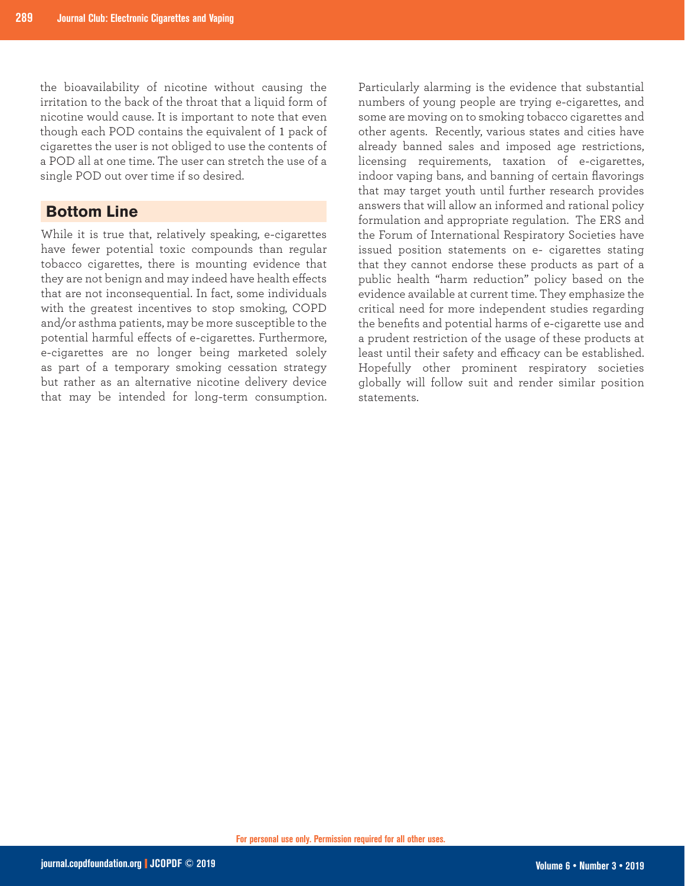the bioavailability of nicotine without causing the irritation to the back of the throat that a liquid form of nicotine would cause. It is important to note that even though each POD contains the equivalent of 1 pack of cigarettes the user is not obliged to use the contents of a POD all at one time. The user can stretch the use of a single POD out over time if so desired.

# **Bottom Line**

While it is true that, relatively speaking, e-cigarettes have fewer potential toxic compounds than regular tobacco cigarettes, there is mounting evidence that they are not benign and may indeed have health effects that are not inconsequential. In fact, some individuals with the greatest incentives to stop smoking, COPD and/or asthma patients, may be more susceptible to the potential harmful effects of e-cigarettes. Furthermore, e-cigarettes are no longer being marketed solely as part of a temporary smoking cessation strategy but rather as an alternative nicotine delivery device that may be intended for long-term consumption.

Particularly alarming is the evidence that substantial numbers of young people are trying e-cigarettes, and some are moving on to smoking tobacco cigarettes and other agents. Recently, various states and cities have already banned sales and imposed age restrictions, licensing requirements, taxation of e-cigarettes, indoor vaping bans, and banning of certain flavorings that may target youth until further research provides answers that will allow an informed and rational policy formulation and appropriate regulation. The ERS and the Forum of International Respiratory Societies have issued position statements on e- cigarettes stating that they cannot endorse these products as part of a public health "harm reduction" policy based on the evidence available at current time. They emphasize the critical need for more independent studies regarding the benefits and potential harms of e-cigarette use and a prudent restriction of the usage of these products at least until their safety and efficacy can be established. Hopefully other prominent respiratory societies globally will follow suit and render similar position statements.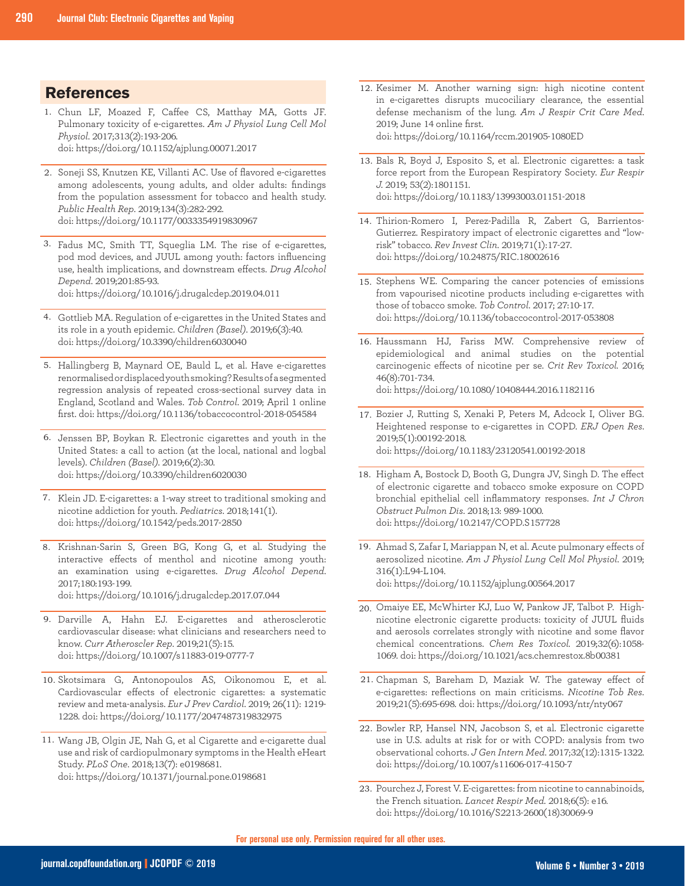### **References**

- Chun LF, Moazed F, Caffee CS, Matthay MA, Gotts JF. 1. Pulmonary toxicity of e-cigarettes. *Am J Physiol Lung Cell Mol Physiol*. 2017;313(2):193-206. doi: https://doi.org/10.1152/ajplung.00071.2017
- 2. Soneji SS, Knutzen KE, Villanti AC. Use of flavored e-cigarettes among adolescents, young adults, and older adults: findings from the population assessment for tobacco and health study. *Public Health Rep*. 2019;134(3):282-292. doi: https://doi.org/10.1177/0033354919830967
- Fadus MC, Smith TT, Squeglia LM. The rise of e-cigarettes, 3. pod mod devices, and JUUL among youth: factors influencing use, health implications, and downstream effects. *Drug Alcohol Depend*. 2019;201:85-93.

doi: https://doi.org/10.1016/j.drugalcdep.2019.04.011

- 4. Gottlieb MA. Regulation of e-cigarettes in the United States and its role in a youth epidemic. *Children (Basel)*. 2019;6(3):40. doi: https://doi.org/10.3390/children6030040
- 5. Hallingberg B, Maynard OE, Bauld L, et al. Have e-cigarettes renormalised or displaced youth smoking? Results of a segmented regression analysis of repeated cross-sectional survey data in England, Scotland and Wales. *Tob Control*. 2019; April 1 online first. doi: https://doi.org/10.1136/tobaccocontrol-2018-054584
- Jenssen BP, Boykan R. Electronic cigarettes and youth in the 6. United States: a call to action (at the local, national and logbal levels). *Children (Basel)*. 2019;6(2):30. doi: https://doi.org/10.3390/children6020030
- 7. Klein JD. E-cigarettes: a 1-way street to traditional smoking and nicotine addiction for youth. *Pediatrics*. 2018;141(1). doi: https://doi.org/10.1542/peds.2017-2850
- 8. Krishnan-Sarin S, Green BG, Kong G, et al. Studying the interactive effects of menthol and nicotine among youth: an examination using e-cigarettes. *Drug Alcohol Depend*. 2017;180:193-199. doi: https://doi.org/10.1016/j.drugalcdep.2017.07.044
- Darville A, Hahn EJ. E-cigarettes and atherosclerotic 9. cardiovascular disease: what clinicians and researchers need to
- know. *Curr Atheroscler Rep*. 2019;21(5):15. doi: https://doi.org/10.1007/s11883-019-0777-7
- 10. Skotsimara G, Antonopoulos AS, Oikonomou E, et al. Cardiovascular effects of electronic cigarettes: a systematic review and meta-analysis. *Eur J Prev Cardiol*. 2019; 26(11): 1219- 1228. doi: https://doi.org/10.1177/2047487319832975
- Wang JB, Olgin JE, Nah G, et al Cigarette and e-cigarette dual 11. use and risk of cardiopulmonary symptoms in the Health eHeart Study. *PLoS One*. 2018;13(7): e0198681. doi: https://doi.org/10.1371/journal.pone.0198681
- 12. Kesimer M. Another warning sign: high nicotine content in e-cigarettes disrupts mucociliary clearance, the essential defense mechanism of the lung. *Am J Respir Crit Care Med*. 2019; June 14 online first. doi: https://doi.org/10.1164/rccm.201905-1080ED
- 13. Bals R, Boyd J, Esposito S, et al. Electronic cigarettes: a task force report from the European Respiratory Society. *Eur Respir J.* 2019; 53(2):1801151. doi: https://doi.org/10.1183/13993003.01151-2018
- 14. Thirion-Romero I, Perez-Padilla R, Zabert G, Barrientos-Gutierrez. Respiratory impact of electronic cigarettes and "lowrisk" tobacco. *Rev Invest Clin*. 2019;71(1):17-27. doi: https://doi.org/10.24875/RIC.18002616
- 15. Stephens WE. Comparing the cancer potencies of emissions from vapourised nicotine products including e-cigarettes with those of tobacco smoke. *Tob Control*. 2017; 27:10-17. doi: https://doi.org/10.1136/tobaccocontrol-2017-053808
- 16. Haussmann HJ, Fariss MW. Comprehensive review of epidemiological and animal studies on the potential carcinogenic effects of nicotine per se. *Crit Rev Toxicol.* 2016; 46(8):701-734. doi: https://doi.org/10.1080/10408444.2016.1182116
- 17. Bozier J, Rutting S, Xenaki P, Peters M, Adcock I, Oliver BG. Heightened response to e-cigarettes in COPD. *ERJ Open Res*. 2019;5(1):00192-2018. doi: https://doi.org/10.1183/23120541.00192-2018
- 18. Higham A, Bostock D, Booth G, Dungra JV, Singh D. The effect of electronic cigarette and tobacco smoke exposure on COPD bronchial epithelial cell inflammatory responses. *Int J Chron Obstruct Pulmon Dis*. 2018;13: 989-1000. doi: https://doi.org/10.2147/COPD.S157728
- Ahmad S, Zafar I, Mariappan N, et al. Acute pulmonary effects of 19. aerosolized nicotine. *Am J Physiol Lung Cell Mol Physiol*. 2019; 316(1):L94-L104. doi: https://doi.org/10.1152/ajplung.00564.2017
- 20. Omaiye EE, McWhirter KJ, Luo W, Pankow JF, Talbot P. Highnicotine electronic cigarette products: toxicity of JUUL fluids and aerosols correlates strongly with nicotine and some flavor chemical concentrations. *Chem Res Toxicol.* 2019;32(6):1058- 1069. doi: https://doi.org/10.1021/acs.chemrestox.8b00381
- 21. Chapman S, Bareham D, Maziak W. The gateway effect of e-cigarettes: reflections on main criticisms. *Nicotine Tob Res*. 2019;21(5):695-698. doi: https://doi.org/10.1093/ntr/nty067
- 22. Bowler RP, Hansel NN, Jacobson S, et al. Electronic cigarette use in U.S. adults at risk for or with COPD: analysis from two observational cohorts. *J Gen Intern Med*. 2017;32(12):1315-1322. doi: https://doi.org/10.1007/s11606-017-4150-7

<sup>23.</sup> Pourchez J, Forest V. E-cigarettes: from nicotine to cannabinoids, the French situation. *Lancet Respir Med.* 2018;6(5): e16. doi: https://doi.org/10.1016/S2213-2600(18)30069-9